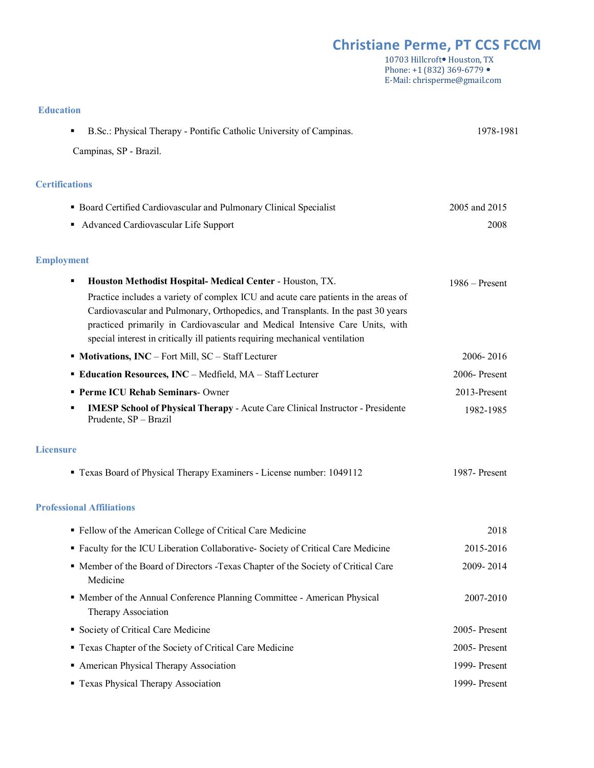# *Christiane Perme, PT CCS FCCM*

10703 Hillcroft<sup>•</sup> Houston, TX Phone: +1 (832) 369-6779 · E-Mail: chrisperme@gmail.com

| B.Sc.: Physical Therapy - Pontific Catholic University of Campinas.<br>٠                                                                                     | 1978-1981        |
|--------------------------------------------------------------------------------------------------------------------------------------------------------------|------------------|
| Campinas, SP - Brazil.                                                                                                                                       |                  |
| <b>Certifications</b>                                                                                                                                        |                  |
| • Board Certified Cardiovascular and Pulmonary Clinical Specialist                                                                                           | 2005 and 2015    |
| Advanced Cardiovascular Life Support<br>٠                                                                                                                    | 2008             |
| <b>Employment</b>                                                                                                                                            |                  |
| <b>Houston Methodist Hospital- Medical Center - Houston, TX.</b><br>٠                                                                                        | $1986 -$ Present |
| Practice includes a variety of complex ICU and acute care patients in the areas of                                                                           |                  |
| Cardiovascular and Pulmonary, Orthopedics, and Transplants. In the past 30 years                                                                             |                  |
| practiced primarily in Cardiovascular and Medical Intensive Care Units, with<br>special interest in critically ill patients requiring mechanical ventilation |                  |
| • Motivations, INC - Fort Mill, SC - Staff Lecturer                                                                                                          | 2006-2016        |
| <b>Education Resources, INC</b> – Medfield, MA – Staff Lecturer                                                                                              | 2006-Present     |
| <b>Perme ICU Rehab Seminars-Owner</b>                                                                                                                        | 2013-Present     |
| <b>IMESP School of Physical Therapy - Acute Care Clinical Instructor - Presidente</b><br>٠<br>Prudente, SP - Brazil                                          | 1982-1985        |

#### **Licensure**

**Education**

| • Texas Board of Physical Therapy Examiners - License number: 1049112 | 1987-Present |
|-----------------------------------------------------------------------|--------------|
|-----------------------------------------------------------------------|--------------|

### **Professional Affiliations**

| • Fellow of the American College of Critical Care Medicine                                      | 2018            |
|-------------------------------------------------------------------------------------------------|-----------------|
| • Faculty for the ICU Liberation Collaborative-Society of Critical Care Medicine                | 2015-2016       |
| • Member of the Board of Directors - Texas Chapter of the Society of Critical Care<br>Medicine  | 2009-2014       |
| • Member of the Annual Conference Planning Committee - American Physical<br>Therapy Association | 2007-2010       |
| • Society of Critical Care Medicine                                                             | $2005$ -Present |
| • Texas Chapter of the Society of Critical Care Medicine                                        | $2005$ -Present |
| • American Physical Therapy Association                                                         | 1999-Present    |
| • Texas Physical Therapy Association                                                            | 1999-Present    |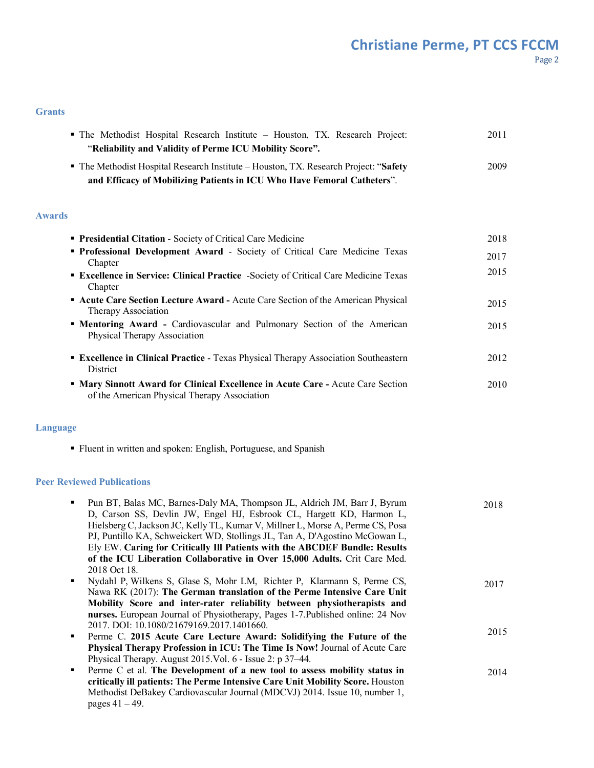## **Christiane Perme, PT CCS FCCM** Page 2

#### **Grants**

| • The Methodist Hospital Research Institute – Houston, TX. Research Project:          | 2011 |
|---------------------------------------------------------------------------------------|------|
| "Reliability and Validity of Perme ICU Mobility Score".                               |      |
| • The Methodist Hospital Research Institute – Houston, TX. Research Project: "Safety" | 2009 |
| and Efficacy of Mobilizing Patients in ICU Who Have Femoral Catheters".               |      |
|                                                                                       |      |

#### **Awards**

| <b>Presidential Citation - Society of Critical Care Medicine</b>                                                                | 2018 |
|---------------------------------------------------------------------------------------------------------------------------------|------|
| <b>• Professional Development Award - Society of Critical Care Medicine Texas</b><br>Chapter                                    | 2017 |
| <b>Excellence in Service: Clinical Practice</b> -Society of Critical Care Medicine Texas<br>Chapter                             | 2015 |
| <b>Acute Care Section Lecture Award - Acute Care Section of the American Physical</b><br>Therapy Association                    | 2015 |
| <b>• Mentoring Award - Cardiovascular and Pulmonary Section of the American</b><br><b>Physical Therapy Association</b>          | 2015 |
| <b>Excellence in Clinical Practice</b> - Texas Physical Therapy Association Southeastern<br>District                            | 2012 |
| " Mary Sinnott Award for Clinical Excellence in Acute Care - Acute Care Section<br>of the American Physical Therapy Association | 2010 |

### **Language**

§ Fluent in written and spoken: English, Portuguese, and Spanish

## **Peer Reviewed Publications**

|                | Pun BT, Balas MC, Barnes-Daly MA, Thompson JL, Aldrich JM, Barr J, Byrum       | 2018 |
|----------------|--------------------------------------------------------------------------------|------|
|                | D, Carson SS, Devlin JW, Engel HJ, Esbrook CL, Hargett KD, Harmon L,           |      |
|                | Hielsberg C, Jackson JC, Kelly TL, Kumar V, Millner L, Morse A, Perme CS, Posa |      |
|                | PJ, Puntillo KA, Schweickert WD, Stollings JL, Tan A, D'Agostino McGowan L,    |      |
|                | Ely EW. Caring for Critically Ill Patients with the ABCDEF Bundle: Results     |      |
|                | of the ICU Liberation Collaborative in Over 15,000 Adults. Crit Care Med.      |      |
|                | 2018 Oct 18.                                                                   |      |
| ٠              | Nydahl P, Wilkens S, Glase S, Mohr LM, Richter P, Klarmann S, Perme CS,        | 2017 |
|                | Nawa RK (2017): The German translation of the Perme Intensive Care Unit        |      |
|                | Mobility Score and inter-rater reliability between physiotherapists and        |      |
|                | nurses. European Journal of Physiotherapy, Pages 1-7. Published online: 24 Nov |      |
|                | 2017. DOI: 10.1080/21679169.2017.1401660.                                      |      |
| $\blacksquare$ | Perme C. 2015 Acute Care Lecture Award: Solidifying the Future of the          | 2015 |
|                | Physical Therapy Profession in ICU: The Time Is Now! Journal of Acute Care     |      |
|                | Physical Therapy. August 2015. Vol. 6 - Issue 2: p 37–44.                      |      |
| $\blacksquare$ | Perme C et al. The Development of a new tool to assess mobility status in      | 2014 |
|                | critically ill patients: The Perme Intensive Care Unit Mobility Score. Houston |      |
|                | Methodist DeBakey Cardiovascular Journal (MDCVJ) 2014. Issue 10, number 1,     |      |
|                | pages $41 - 49$ .                                                              |      |
|                |                                                                                |      |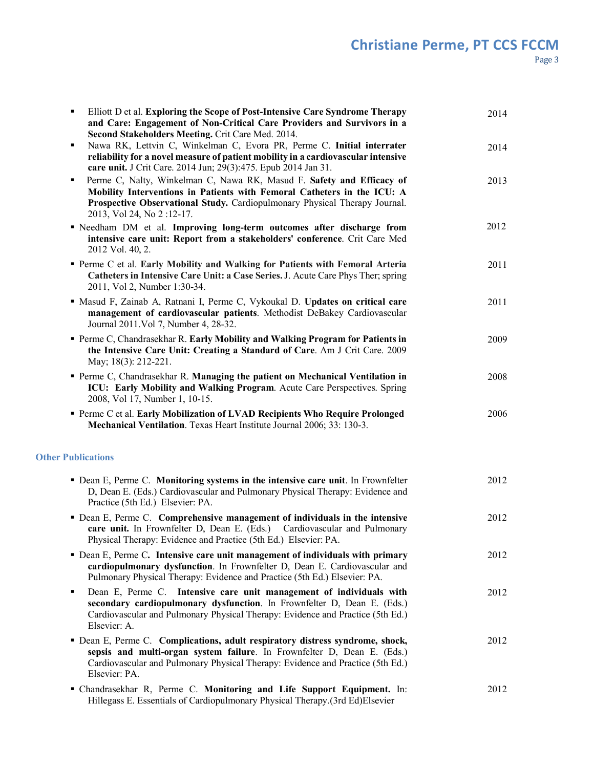| Elliott D et al. Exploring the Scope of Post-Intensive Care Syndrome Therapy<br>٠<br>and Care: Engagement of Non-Critical Care Providers and Survivors in a<br>Second Stakeholders Meeting. Crit Care Med. 2014.                                                 | 2014 |
|------------------------------------------------------------------------------------------------------------------------------------------------------------------------------------------------------------------------------------------------------------------|------|
| Nawa RK, Lettvin C, Winkelman C, Evora PR, Perme C. Initial interrater<br>٠<br>reliability for a novel measure of patient mobility in a cardiovascular intensive<br>care unit. J Crit Care. 2014 Jun; 29(3):475. Epub 2014 Jan 31.                               | 2014 |
| Perme C, Nalty, Winkelman C, Nawa RK, Masud F. Safety and Efficacy of<br>٠<br>Mobility Interventions in Patients with Femoral Catheters in the ICU: A<br>Prospective Observational Study. Cardiopulmonary Physical Therapy Journal.<br>2013, Vol 24, No 2:12-17. | 2013 |
| " Needham DM et al. Improving long-term outcomes after discharge from<br>intensive care unit: Report from a stakeholders' conference. Crit Care Med<br>2012 Vol. 40, 2.                                                                                          | 2012 |
| • Perme C et al. Early Mobility and Walking for Patients with Femoral Arteria<br>Catheters in Intensive Care Unit: a Case Series. J. Acute Care Phys Ther; spring<br>2011, Vol 2, Number 1:30-34.                                                                | 2011 |
| " Masud F, Zainab A, Ratnani I, Perme C, Vykoukal D. Updates on critical care<br>management of cardiovascular patients. Methodist DeBakey Cardiovascular<br>Journal 2011. Vol 7, Number 4, 28-32.                                                                | 2011 |
| Perme C, Chandrasekhar R. Early Mobility and Walking Program for Patients in<br>the Intensive Care Unit: Creating a Standard of Care. Am J Crit Care. 2009<br>May; 18(3): 212-221.                                                                               | 2009 |
| Perme C, Chandrasekhar R. Managing the patient on Mechanical Ventilation in<br>ICU: Early Mobility and Walking Program. Acute Care Perspectives. Spring<br>2008, Vol 17, Number 1, 10-15.                                                                        | 2008 |
| Perme C et al. Early Mobilization of LVAD Recipients Who Require Prolonged<br>Mechanical Ventilation. Texas Heart Institute Journal 2006; 33: 130-3.                                                                                                             | 2006 |
| <b>Other Publications</b>                                                                                                                                                                                                                                        |      |
| • Dean E, Perme C. Monitoring systems in the intensive care unit. In Frownfelter<br>D, Dean E. (Eds.) Cardiovascular and Pulmonary Physical Therapy: Evidence and<br>Practice (5th Ed.) Elsevier: PA.                                                            | 2012 |
| • Dean E, Perme C. Comprehensive management of individuals in the intensive<br>care unit. In Frownfelter D, Dean E. (Eds.) Cardiovascular and Pulmonary<br>Physical Therapy: Evidence and Practice (5th Ed.) Elsevier: PA.                                       | 2012 |
| • Dean E, Perme C. Intensive care unit management of individuals with primary<br>cardiopulmonary dysfunction. In Frownfelter D, Dean E. Cardiovascular and<br>Pulmonary Physical Therapy: Evidence and Practice (5th Ed.) Elsevier: PA.                          | 2012 |
| Dean E, Perme C. Intensive care unit management of individuals with<br>٠<br>secondary cardiopulmonary dysfunction. In Frownfelter D, Dean E. (Eds.)<br>Cardiovascular and Pulmonary Physical Therapy: Evidence and Practice (5th Ed.)<br>Elsevier: A.            | 2012 |
| • Dean E, Perme C. Complications, adult respiratory distress syndrome, shock,<br>sepsis and multi-organ system failure. In Frownfelter D, Dean E. (Eds.)<br>Cardiovascular and Pulmonary Physical Therapy: Evidence and Practice (5th Ed.)<br>Elsevier: PA.      | 2012 |
| " Chandrasekhar R, Perme C. Monitoring and Life Support Equipment. In:<br>Hillegass E. Essentials of Cardiopulmonary Physical Therapy.(3rd Ed)Elsevier                                                                                                           | 2012 |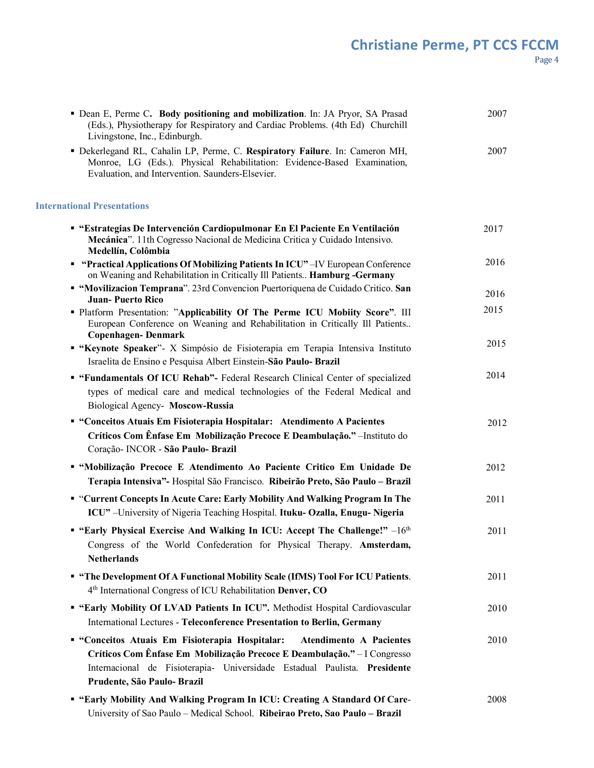| • Dean E, Perme C. Body positioning and mobilization. In: JA Pryor, SA Prasad<br>(Eds.), Physiotherapy for Respiratory and Cardiac Problems. (4th Ed) Churchill<br>Livingstone, Inc., Edinburgh.                                                                          | 2007 |
|---------------------------------------------------------------------------------------------------------------------------------------------------------------------------------------------------------------------------------------------------------------------------|------|
| Dekerlegand RL, Cahalin LP, Perme, C. Respiratory Failure. In: Cameron MH,<br>Monroe, LG (Eds.). Physical Rehabilitation: Evidence-Based Examination,<br>Evaluation, and Intervention. Saunders-Elsevier.                                                                 | 2007 |
| <b>International Presentations</b>                                                                                                                                                                                                                                        |      |
| " "Estrategias De Intervención Cardiopulmonar En El Paciente En Ventilación<br>Mecánica". 11th Cogresso Nacional de Medicina Critica y Cuidado Intensivo.<br>Medellín, Colômbia                                                                                           | 2017 |
| " "Practical Applications Of Mobilizing Patients In ICU"-IV European Conference<br>on Weaning and Rehabilitation in Critically Ill Patients Hamburg -Germany                                                                                                              | 2016 |
| "Movilizacion Temprana". 23rd Convencion Puertoriquena de Cuidado Critico. San<br><b>Juan-Puerto Rico</b>                                                                                                                                                                 | 2016 |
| " Platform Presentation: "Applicability Of The Perme ICU Mobiity Score". III<br>European Conference on Weaning and Rehabilitation in Critically Ill Patients<br><b>Copenhagen-Denmark</b>                                                                                 | 2015 |
| "Keynote Speaker"- X Simpósio de Fisioterapia em Terapia Intensiva Instituto                                                                                                                                                                                              | 2015 |
| Israelita de Ensino e Pesquisa Albert Einstein-São Paulo- Brazil                                                                                                                                                                                                          |      |
| " "Fundamentals Of ICU Rehab"- Federal Research Clinical Center of specialized<br>types of medical care and medical technologies of the Federal Medical and<br>Biological Agency- Moscow-Russia                                                                           | 2014 |
| " "Conceitos Atuais Em Fisioterapia Hospitalar: Atendimento A Pacientes<br>Críticos Com Ênfase Em Mobilização Precoce E Deambulação." - Instituto do<br>Coração- INCOR - São Paulo- Brazil                                                                                | 2012 |
| " "Mobilização Precoce E Atendimento Ao Paciente Critico Em Unidade De<br>Terapia Intensiva"- Hospital São Francisco. Ribeirão Preto, São Paulo - Brazil                                                                                                                  | 2012 |
| " "Current Concepts In Acute Care: Early Mobility And Walking Program In The<br>ICU" -University of Nigeria Teaching Hospital. Ituku- Ozalla, Enugu- Nigeria                                                                                                              | 2011 |
| <b>• "Early Physical Exercise And Walking In ICU: Accept The Challenge!"</b> $-16th$<br>Congress of the World Confederation for Physical Therapy. Amsterdam,<br><b>Netherlands</b>                                                                                        | 2011 |
| " "The Development Of A Functional Mobility Scale (IfMS) Tool For ICU Patients.<br>4th International Congress of ICU Rehabilitation Denver, CO                                                                                                                            | 2011 |
| International Lectures - Teleconference Presentation to Berlin, Germany                                                                                                                                                                                                   | 2010 |
| " "Conceitos Atuais Em Fisioterapia Hospitalar:<br><b>Atendimento A Pacientes</b><br>Críticos Com Ênfase Em Mobilização Precoce E Deambulação." - I Congresso<br>Internacional de Fisioterapia- Universidade Estadual Paulista. Presidente<br>Prudente, São Paulo- Brazil | 2010 |
| " "Early Mobility And Walking Program In ICU: Creating A Standard Of Care-<br>University of Sao Paulo - Medical School. Ribeirao Preto, Sao Paulo - Brazil                                                                                                                | 2008 |